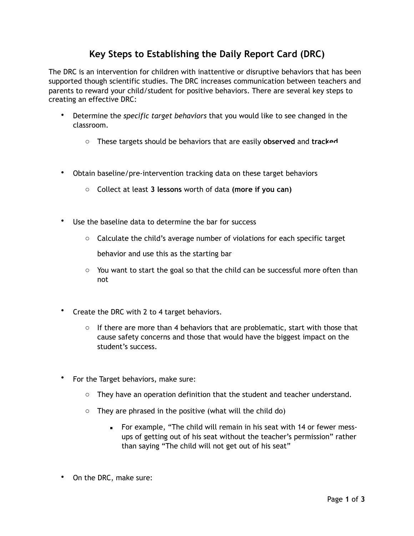## **Key Steps to Establishing the Daily Report Card (DRC)**

The DRC is an intervention for children with inattentive or disruptive behaviors that has been supported though scientific studies. The DRC increases communication between teachers and parents to reward your child/student for positive behaviors. There are several key steps to creating an effective DRC:

- Determine the *specific target behaviors* that you would like to see changed in the classroom.
	- o These targets should be behaviors that are easily **observed** and **tracked**
- Obtain baseline/pre-intervention tracking data on these target behaviors
	- o Collect at least **3 lessons** worth of data **(more if you can)**
- Use the baseline data to determine the bar for success
	- $\circ$  Calculate the child's average number of violations for each specific target behavior and use this as the starting bar
	- $\circ$  You want to start the goal so that the child can be successful more often than not
- Create the DRC with 2 to 4 target behaviors.
	- $\circ$  If there are more than 4 behaviors that are problematic, start with those that cause safety concerns and those that would have the biggest impact on the student's success.
- For the Target behaviors, make sure:
	- $\circ$  They have an operation definition that the student and teacher understand.
	- $\circ$  They are phrased in the positive (what will the child do)
		- For example, "The child will remain in his seat with 14 or fewer messups of getting out of his seat without the teacher's permission" rather than saying "The child will not get out of his seat"
- On the DRC, make sure: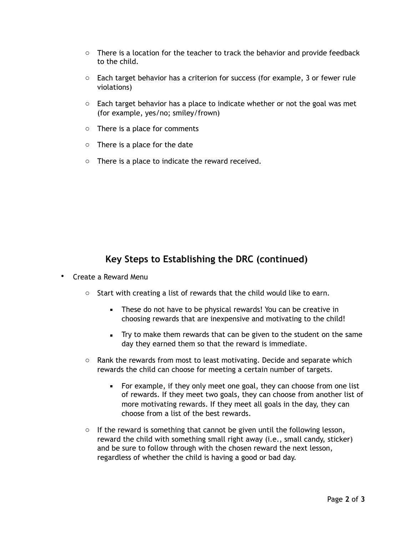- $\circ$  There is a location for the teacher to track the behavior and provide feedback to the child.
- $\circ$  Each target behavior has a criterion for success (for example, 3 or fewer rule violations)
- $\circ$  Each target behavior has a place to indicate whether or not the goal was met (for example, yes/no; smiley/frown)
- o There is a place for comments
- o There is a place for the date
- o There is a place to indicate the reward received.

## **Key Steps to Establishing the DRC (continued)**

- Create a Reward Menu
	- $\circ$  Start with creating a list of rewards that the child would like to earn.
		- **EXEC** These do not have to be physical rewards! You can be creative in choosing rewards that are inexpensive and motivating to the child!
		- **Try to make them rewards that can be given to the student on the same** day they earned them so that the reward is immediate.
	- $\circ$  Rank the rewards from most to least motivating. Decide and separate which rewards the child can choose for meeting a certain number of targets.
		- For example, if they only meet one goal, they can choose from one list of rewards. If they meet two goals, they can choose from another list of more motivating rewards. If they meet all goals in the day, they can choose from a list of the best rewards.
	- $\circ$  If the reward is something that cannot be given until the following lesson, reward the child with something small right away (i.e., small candy, sticker) and be sure to follow through with the chosen reward the next lesson, regardless of whether the child is having a good or bad day.